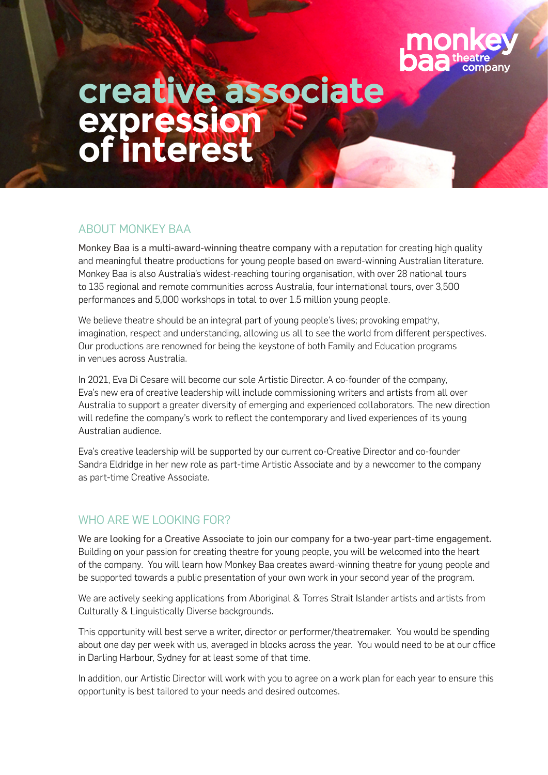

# **creative associate expression of interest**

## ABOUT MONKEY BAA

Monkey Baa is a multi-award-winning theatre company with a reputation for creating high quality and meaningful theatre productions for young people based on award-winning Australian literature. Monkey Baa is also Australia's widest-reaching touring organisation, with over 28 national tours to 135 regional and remote communities across Australia, four international tours, over 3,500 performances and 5,000 workshops in total to over 1.5 million young people.

We believe theatre should be an integral part of young people's lives; provoking empathy, imagination, respect and understanding, allowing us all to see the world from different perspectives. Our productions are renowned for being the keystone of both Family and Education programs in venues across Australia.

In 2021, Eva Di Cesare will become our sole Artistic Director. A co-founder of the company, Eva's new era of creative leadership will include commissioning writers and artists from all over Australia to support a greater diversity of emerging and experienced collaborators. The new direction will redefine the company's work to reflect the contemporary and lived experiences of its young Australian audience.

Eva's creative leadership will be supported by our current co-Creative Director and co-founder Sandra Eldridge in her new role as part-time Artistic Associate and by a newcomer to the company as part-time Creative Associate.

## WHO ARE WE LOOKING FOR?

We are looking for a Creative Associate to join our company for a two-year part-time engagement. Building on your passion for creating theatre for young people, you will be welcomed into the heart of the company. You will learn how Monkey Baa creates award-winning theatre for young people and be supported towards a public presentation of your own work in your second year of the program.

We are actively seeking applications from Aboriginal & Torres Strait Islander artists and artists from Culturally & Linguistically Diverse backgrounds.

This opportunity will best serve a writer, director or performer/theatremaker. You would be spending about one day per week with us, averaged in blocks across the year. You would need to be at our office in Darling Harbour, Sydney for at least some of that time.

In addition, our Artistic Director will work with you to agree on a work plan for each year to ensure this opportunity is best tailored to your needs and desired outcomes.